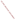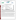# **U.S. Environmental Protection Agency**





# **ETV Joint Verification Statement**

| <b>TECHNOLOGY TYPE: Atrazine Test Kit</b>                    |                                                               |                                                          |  |  |
|--------------------------------------------------------------|---------------------------------------------------------------|----------------------------------------------------------|--|--|
| <b>APPLICATION:</b>                                          | ANALYSIS OF ATRAZINE IN WATER                                 |                                                          |  |  |
| <b>TECHNOLOGY NAME: Watersafe<sup>®</sup> Pesticide Test</b> |                                                               |                                                          |  |  |
| <b>COMPANY:</b>                                              | <b>Silver Lake Research Corporation</b>                       |                                                          |  |  |
| <b>ADDRESS:</b>                                              | <b>PO Box 686</b><br>Monrovia, CA 91017                       | PHONE: (888) 438-1942<br>$(626)$ 359-6601<br><b>FAX:</b> |  |  |
| <b>WEB SITE:</b><br><b>EMAIL:</b>                            | www.watersafetestkits.com<br>marketing@silverlakeresearch.com |                                                          |  |  |

The U.S. Environmental Protection Agency (EPA) has created the Environmental Technology Verification (ETV) Program to facilitate the deployment of innovative or improved environmental technologies through performance verification and dissemination of information. The goal of the ETV Program is to further environmental protection by accelerating the acceptance and use of improved and cost-effective technologies. ETV seeks to achieve this goal by providing high-quality, peer-reviewed data on technology performance to those involved in the design, distribution, financing, permitting, purchase, and use of environmental technologies. Information and ETV documents are available at www.epa.gov/etv.

ETV works in partnership with recognized standards and testing organizations; with stakeholder groups that consist of buyers, vendor organizations, and permitters; and with the full participation of individual technology developers. The program evaluates the performance of innovative technologies by developing test plans that are responsive to the needs of stakeholders, conducting field or laboratory tests (as appropriate), collecting and analyzing data, and preparing peer-reviewed reports. All evaluations are conducted in accordance with rigorous quality assurance (QA) protocols to ensure that data of known and adequate quality are generated and that the results are defensible.

The Advanced Monitoring Systems (AMS) Center, one of seven technology areas under ETV, is operated by Battelle in cooperation with EPA's National Exposure Research Laboratory. The AMS Center has recently evaluated the performance of test kits for the analysis of atrazine in water. This verification statement provides a summary of the test results for the Silver Lake Research Corporation Watersafe® Pesticide Test for detecting atrazine in water.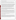#### **VERIFICATION TEST DESCRIPTION**

The Watersafe® Pesticide Test was verified in terms of its performance on the following parameters: accuracy, precision, cross-reactivity of hydroxylatrazine and desethyl atrazine, matrix interference effects, and rate of false positives/false negatives. Qualitative factors including ease of use, reliability, and sample throughput were also evaluated. Method detection limit and linearity were not evaluated because the technology provides qualitative results only.

All analyses were performed according to the vendor's recommended procedures. The verification test involved challenging the Watersafe® Pesticide Test with seven performance test (PT) samples and four types of environmental samples. The PT samples consisted of ASTM Type I water samples fortified with atrazine or an atrazine degradation product. Five of the PT samples contained atrazine at concentrations ranging from 0.1 to 5 parts per billion (ppb), and two of the samples contained 3 ppb of a cross-reactive compound, but no atrazine. Four types of environmental samples also were analyzed: fresh pond water, brackish pond water, groundwater, and chlorinated drinking water. Environmental samples were filtered prior to test kit analysis. The background atrazine concentration in each environmental sample was less than 0.062 ppb. Each environmental sample was fortified in the laboratory at concentrations of 1 ppb and 3 ppb atrazine. All laboratory-fortified samples were prepared using certified, commercially available standards. All samples were analyzed by the Watersafe® Pesticide Test and by gas chromatography/mass spectrometry (GC/MS) according to modified EPA Method 525.2. Each sample was analyzed in triplicate using the test kit. Samples were given to the analyst blind and in random order.

The verification test was conducted in September 2003 at the Battelle laboratory in Duxbury, Massachusetts. Environmental samples were provided by the National Oceanic and Atmospheric Administration, National Ocean Service's Center for Coastal Environmental Health and Biomolecular Research Center at Charleston, and the University of Missouri - Rolla. Reference laboratory analyses were provided by the EPA's Office of Pesticide Programs, Environmental Chemistry Branch at the John C. Stennis Space Center. Test kit analyses were conducted by the Texas Commission on Environmental Quality.

The Watersafe<sup>®</sup> Pesticide Test and reference method results were used to assess accuracy. Replicate sample results were used to assess precision. Cross-reactivity of hydroxyatrazine and desethyl atrazine were assessed by evaluating the Watersafe® Pesticide Test results for samples that contain only one of the degradation compounds, but not atrazine. Potential matrix effects were assessed by comparing accuracy and precision results for environmental samples (i.e., chlorinated drinking water, fresh surface water, brackish surface water, and groundwater) to those for ASTM Type I water samples. Performance parameters, such as ease of use and reliability, were based on documented observations of the analyst. Sample throughput was estimated based on the time required to analyze a sample set.

QA oversight of verification testing was provided by Battelle and EPA. Battelle QA staff conducted a data quality audit of 10% of the test data, a performance evaluation audit, and a technical systems audit of the procedures used in this verification. This verification statement, the full report on which it is based, and the test/QA plan for this verification are all available at www.epa.gov/etv/centers/center1.html.

### **TECHNOLOGY DESCRIPTION**

The following description of the Watersafe<sup>®</sup> Pesticide Test is based on information provided by the vendor. This information was not verified in this test. The Watersafe® Pesticide Test (Model WS-289) is a one-step qualitative immunoassay for detecting the presence of unsafe levels of atrazine or simazine in water samples. The test cannot differentiate between atrazine and simazine. The qualitative test procedure takes about 10 minutes and informs the user whether the levels of these common indicator pesticides exceed EPA maximum contaminant levels (MCLs) of 3 parts per billion (ppb) for atrazine and 4 ppb for simazine. The Watersafe® Pesticide Test can be used on samples of surface water, groundwater, and treated or untreated drinking water. The test is designed for field use, requiring no instrumentation or other equipment, no power sources, and no refrigerated storage.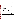The Watersafe® Pesticide Test contains a test vial and a pipette for easy sample collection and handling. Exposing the test strip to a small sample of water triggers the binding of antibodies to atrazine or simazine molecules, resulting in a change in color intensity in the result window of the test strip. If the bottom line on the test strip is darker than the top line, then the sample result is negative. If the top line is darker than the bottom line, or the lines are equally dark, then the test result is positive. The test reaction is completely contained within the test strip. The Watersafe® Pesticide Test comes in 1.5-inch x 2.9-inch x 8-inch packets. Each test packet costs \$5.99, and a case of ten packets costs \$59.99.

## **VERIFICATION OF PERFORMANCE**

Performance results for all parameters except ease of use, reliability, and sample throughput are summarized in the following table:

| Parameter                               | <b>Performance Results</b>         | <b>Comments</b>             |
|-----------------------------------------|------------------------------------|-----------------------------|
| Accuracy (number of accurate results    |                                    |                             |
| out of total number of tests)           |                                    |                             |
| PT samples, $0.1 - 5$ ppb atrazine and  | 18 out of 21                       | Samples with inaccurate     |
| cross-reactivity samples                |                                    | results contained ~1 ppb    |
|                                         |                                    | atrazine.                   |
| Environmental samples:                  |                                    |                             |
| Fresh pond water                        | $9$ out of $9$                     | Samples with inaccurate     |
| Brackish pond water                     | 7 out of 9                         | results contained ~1 ppb    |
| Groundwater                             | 8 out of 9                         | atrazine.                   |
| Chlorinated drinking water              | 7 out of 9                         |                             |
| Precision (number of consistent sets of |                                    |                             |
| replicate sample results out of total   |                                    |                             |
| number of sets)                         |                                    |                             |
| PT samples, $0.1 - 5$ ppb atrazine and  | 7 out of 7                         |                             |
| cross-reactivity samples                |                                    |                             |
| Environmental samples:                  |                                    |                             |
| Fresh pond water                        | $3$ out of $3$                     | Samples with inconsistent   |
| Brackish pond water                     | 2 out of 3                         | replicate results contained |
| Groundwater                             | $2$ out of $3$                     | $~1$ ppb atrazine.          |
| Chlorinated drinking water              | 2 out of 3                         |                             |
| Cross-reactivity                        |                                    |                             |
| 3 ppb hydroxyatrazine                   | Negative                           | Cross-reactivity samples    |
| 3 ppb desethyl atrazine                 | Negative                           | did not contain atrazine.   |
| Matrix interference effects             | No apparent matrix effects         |                             |
| False positive results                  | 8 false positive results out of 56 | Evaluated relative to 3 ppb |
|                                         | tests                              | test threshold level. False |
|                                         |                                    | positive results were for   |
|                                         |                                    | samples with $\sim$ 1 ppb   |
|                                         |                                    | atrazine.                   |
| False negative results                  | None                               | Evaluated relative to 3 ppb |
|                                         |                                    | test threshold level.       |

During the test, the analyst recorded observations regarding ease of use, reliability, and sample throughput. The Watersafe<sup>®</sup> Pesticide Test was easy to use, with simple instructions. All materials were provided in the small test packets. In some cases, the intensity and color of the lines on the test strips were difficult to discern and interpret. These difficulties were minimized by ensuring adequate lighting and placing the test strips on a light-colored background. The Watersafe® Pesticide Test operated without failure throughout the test.